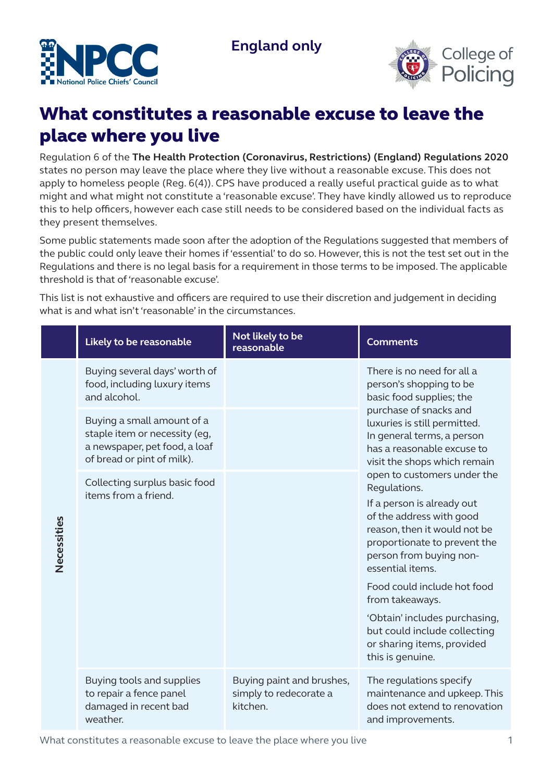



## What constitutes a reasonable excuse to leave the place where you live

Regulation 6 of the **The Health Protection (Coronavirus, Restrictions) (England) Regulations 2020**  states no person may leave the place where they live without a reasonable excuse. This does not apply to homeless people (Reg. 6(4)). CPS have produced a really useful practical guide as to what might and what might not constitute a 'reasonable excuse'. They have kindly allowed us to reproduce this to help officers, however each case still needs to be considered based on the individual facts as they present themselves.

Some public statements made soon after the adoption of the Regulations suggested that members of the public could only leave their homes if 'essential' to do so. However, this is not the test set out in the Regulations and there is no legal basis for a requirement in those terms to be imposed. The applicable threshold is that of 'reasonable excuse'.

This list is not exhaustive and officers are required to use their discretion and judgement in deciding what is and what isn't 'reasonable' in the circumstances.

|             | Likely to be reasonable                                                                                                    | Not likely to be<br>reasonable                                  | <b>Comments</b>                                                                                                                                                                                                                                                                                                                                                                                                                                                                                                                                                                                                                      |
|-------------|----------------------------------------------------------------------------------------------------------------------------|-----------------------------------------------------------------|--------------------------------------------------------------------------------------------------------------------------------------------------------------------------------------------------------------------------------------------------------------------------------------------------------------------------------------------------------------------------------------------------------------------------------------------------------------------------------------------------------------------------------------------------------------------------------------------------------------------------------------|
| Necessities | Buying several days' worth of<br>food, including luxury items<br>and alcohol.                                              |                                                                 | There is no need for all a<br>person's shopping to be<br>basic food supplies; the<br>purchase of snacks and<br>luxuries is still permitted.<br>In general terms, a person<br>has a reasonable excuse to<br>visit the shops which remain<br>open to customers under the<br>Regulations.<br>If a person is already out<br>of the address with good<br>reason, then it would not be<br>proportionate to prevent the<br>person from buying non-<br>essential items.<br>Food could include hot food<br>from takeaways.<br>'Obtain' includes purchasing,<br>but could include collecting<br>or sharing items, provided<br>this is genuine. |
|             | Buying a small amount of a<br>staple item or necessity (eg,<br>a newspaper, pet food, a loaf<br>of bread or pint of milk). |                                                                 |                                                                                                                                                                                                                                                                                                                                                                                                                                                                                                                                                                                                                                      |
|             | Collecting surplus basic food<br>items from a friend.                                                                      |                                                                 |                                                                                                                                                                                                                                                                                                                                                                                                                                                                                                                                                                                                                                      |
|             | Buying tools and supplies<br>to repair a fence panel<br>damaged in recent bad<br>weather.                                  | Buying paint and brushes,<br>simply to redecorate a<br>kitchen. | The regulations specify<br>maintenance and upkeep. This<br>does not extend to renovation<br>and improvements.                                                                                                                                                                                                                                                                                                                                                                                                                                                                                                                        |

What constitutes a reasonable excuse to leave the place where you live 1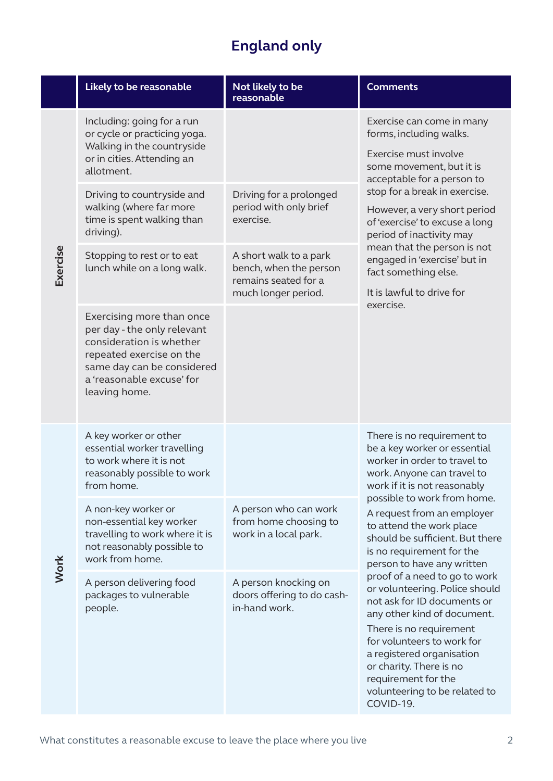## **England only**

|          | Likely to be reasonable                                                                                                                                                                      | Not likely to be<br>reasonable                                                                  | <b>Comments</b>                                                                                                                                                                                                                                                                                                                                                                                                                                                                                                                                                                                                                                                        |
|----------|----------------------------------------------------------------------------------------------------------------------------------------------------------------------------------------------|-------------------------------------------------------------------------------------------------|------------------------------------------------------------------------------------------------------------------------------------------------------------------------------------------------------------------------------------------------------------------------------------------------------------------------------------------------------------------------------------------------------------------------------------------------------------------------------------------------------------------------------------------------------------------------------------------------------------------------------------------------------------------------|
| Exercise | Including: going for a run<br>or cycle or practicing yoga.<br>Walking in the countryside<br>or in cities. Attending an<br>allotment.                                                         |                                                                                                 | Exercise can come in many<br>forms, including walks.<br>Exercise must involve<br>some movement, but it is<br>acceptable for a person to<br>stop for a break in exercise.<br>However, a very short period<br>of 'exercise' to excuse a long<br>period of inactivity may<br>mean that the person is not<br>engaged in 'exercise' but in<br>fact something else.<br>It is lawful to drive for<br>exercise.                                                                                                                                                                                                                                                                |
|          | Driving to countryside and<br>walking (where far more<br>time is spent walking than<br>driving).                                                                                             | Driving for a prolonged<br>period with only brief<br>exercise.                                  |                                                                                                                                                                                                                                                                                                                                                                                                                                                                                                                                                                                                                                                                        |
|          | Stopping to rest or to eat<br>lunch while on a long walk.                                                                                                                                    | A short walk to a park<br>bench, when the person<br>remains seated for a<br>much longer period. |                                                                                                                                                                                                                                                                                                                                                                                                                                                                                                                                                                                                                                                                        |
|          | Exercising more than once<br>per day - the only relevant<br>consideration is whether<br>repeated exercise on the<br>same day can be considered<br>a 'reasonable excuse' for<br>leaving home. |                                                                                                 |                                                                                                                                                                                                                                                                                                                                                                                                                                                                                                                                                                                                                                                                        |
| Work     | A key worker or other<br>essential worker travelling<br>to work where it is not<br>reasonably possible to work<br>from home.                                                                 |                                                                                                 | There is no requirement to<br>be a key worker or essential<br>worker in order to travel to<br>work. Anyone can travel to<br>work if it is not reasonably<br>possible to work from home.<br>A request from an employer<br>to attend the work place<br>should be sufficient. But there<br>is no requirement for the<br>person to have any written<br>proof of a need to go to work<br>or volunteering. Police should<br>not ask for ID documents or<br>any other kind of document.<br>There is no requirement<br>for volunteers to work for<br>a registered organisation<br>or charity. There is no<br>requirement for the<br>volunteering to be related to<br>COVID-19. |
|          | A non-key worker or<br>non-essential key worker<br>travelling to work where it is<br>not reasonably possible to<br>work from home.                                                           | A person who can work<br>from home choosing to<br>work in a local park.                         |                                                                                                                                                                                                                                                                                                                                                                                                                                                                                                                                                                                                                                                                        |
|          | A person delivering food<br>packages to vulnerable<br>people.                                                                                                                                | A person knocking on<br>doors offering to do cash-<br>in-hand work.                             |                                                                                                                                                                                                                                                                                                                                                                                                                                                                                                                                                                                                                                                                        |